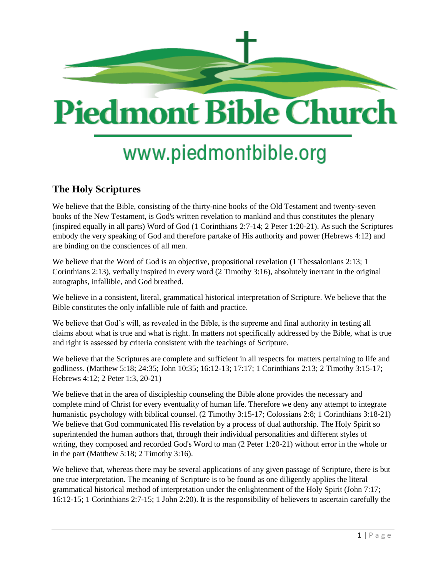

# www.piedmontbible.org

## **The Holy Scriptures**

We believe that the Bible, consisting of the thirty-nine books of the Old Testament and twenty-seven books of the New Testament, is God's written revelation to mankind and thus constitutes the plenary (inspired equally in all parts) Word of God (1 Corinthians 2:7-14; 2 Peter 1:20-21). As such the Scriptures embody the very speaking of God and therefore partake of His authority and power (Hebrews 4:12) and are binding on the consciences of all men.

We believe that the Word of God is an objective, propositional revelation (1 Thessalonians 2:13; 1 Corinthians 2:13), verbally inspired in every word (2 Timothy 3:16), absolutely inerrant in the original autographs, infallible, and God breathed.

We believe in a consistent, literal, grammatical historical interpretation of Scripture. We believe that the Bible constitutes the only infallible rule of faith and practice.

We believe that God's will, as revealed in the Bible, is the supreme and final authority in testing all claims about what is true and what is right. In matters not specifically addressed by the Bible, what is true and right is assessed by criteria consistent with the teachings of Scripture.

We believe that the Scriptures are complete and sufficient in all respects for matters pertaining to life and godliness. (Matthew 5:18; 24:35; John 10:35; 16:12-13; 17:17; 1 Corinthians 2:13; 2 Timothy 3:15-17; Hebrews 4:12; 2 Peter 1:3, 20-21)

We believe that in the area of discipleship counseling the Bible alone provides the necessary and complete mind of Christ for every eventuality of human life. Therefore we deny any attempt to integrate humanistic psychology with biblical counsel. (2 Timothy 3:15-17; Colossians 2:8; 1 Corinthians 3:18-21) We believe that God communicated His revelation by a process of dual authorship. The Holy Spirit so superintended the human authors that, through their individual personalities and different styles of writing, they composed and recorded God's Word to man (2 Peter 1:20-21) without error in the whole or in the part (Matthew 5:18; 2 Timothy 3:16).

We believe that, whereas there may be several applications of any given passage of Scripture, there is but one true interpretation. The meaning of Scripture is to be found as one diligently applies the literal grammatical historical method of interpretation under the enlightenment of the Holy Spirit (John 7:17; 16:12-15; 1 Corinthians 2:7-15; 1 John 2:20). It is the responsibility of believers to ascertain carefully the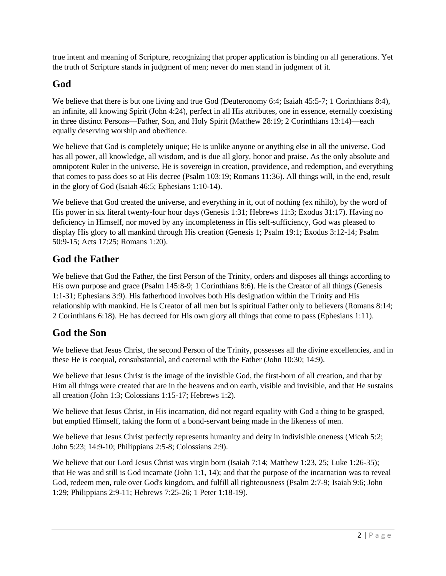true intent and meaning of Scripture, recognizing that proper application is binding on all generations. Yet the truth of Scripture stands in judgment of men; never do men stand in judgment of it.

#### **God**

We believe that there is but one living and true God (Deuteronomy 6:4; Isaiah 45:5-7; 1 Corinthians 8:4), an infinite, all knowing Spirit (John 4:24), perfect in all His attributes, one in essence, eternally coexisting in three distinct Persons—Father, Son, and Holy Spirit (Matthew 28:19; 2 Corinthians 13:14)—each equally deserving worship and obedience.

We believe that God is completely unique; He is unlike anyone or anything else in all the universe. God has all power, all knowledge, all wisdom, and is due all glory, honor and praise. As the only absolute and omnipotent Ruler in the universe, He is sovereign in creation, providence, and redemption, and everything that comes to pass does so at His decree (Psalm 103:19; Romans 11:36). All things will, in the end, result in the glory of God (Isaiah 46:5; Ephesians 1:10-14).

We believe that God created the universe, and everything in it, out of nothing (ex nihilo), by the word of His power in six literal twenty-four hour days (Genesis 1:31; Hebrews 11:3; Exodus 31:17). Having no deficiency in Himself, nor moved by any incompleteness in His self-sufficiency, God was pleased to display His glory to all mankind through His creation (Genesis 1; Psalm 19:1; Exodus 3:12-14; Psalm 50:9-15; Acts 17:25; Romans 1:20).

## **God the Father**

We believe that God the Father, the first Person of the Trinity, orders and disposes all things according to His own purpose and grace (Psalm 145:8-9; 1 Corinthians 8:6). He is the Creator of all things (Genesis 1:1-31; Ephesians 3:9). His fatherhood involves both His designation within the Trinity and His relationship with mankind. He is Creator of all men but is spiritual Father only to believers (Romans 8:14; 2 Corinthians 6:18). He has decreed for His own glory all things that come to pass (Ephesians 1:11).

## **God the Son**

We believe that Jesus Christ, the second Person of the Trinity, possesses all the divine excellencies, and in these He is coequal, consubstantial, and coeternal with the Father (John 10:30; 14:9).

We believe that Jesus Christ is the image of the invisible God, the first-born of all creation, and that by Him all things were created that are in the heavens and on earth, visible and invisible, and that He sustains all creation (John 1:3; Colossians 1:15-17; Hebrews 1:2).

We believe that Jesus Christ, in His incarnation, did not regard equality with God a thing to be grasped, but emptied Himself, taking the form of a bond-servant being made in the likeness of men.

We believe that Jesus Christ perfectly represents humanity and deity in indivisible oneness (Micah 5:2; John 5:23; 14:9-10; Philippians 2:5-8; Colossians 2:9).

We believe that our Lord Jesus Christ was virgin born (Isaiah 7:14; Matthew 1:23, 25; Luke 1:26-35); that He was and still is God incarnate (John 1:1, 14); and that the purpose of the incarnation was to reveal God, redeem men, rule over God's kingdom, and fulfill all righteousness (Psalm 2:7-9; Isaiah 9:6; John 1:29; Philippians 2:9-11; Hebrews 7:25-26; 1 Peter 1:18-19).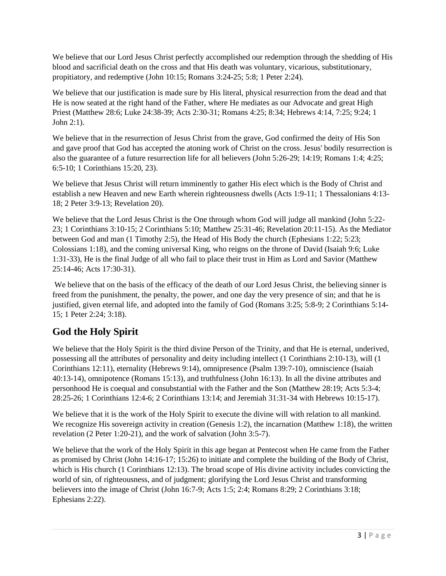We believe that our Lord Jesus Christ perfectly accomplished our redemption through the shedding of His blood and sacrificial death on the cross and that His death was voluntary, vicarious, substitutionary, propitiatory, and redemptive (John 10:15; Romans 3:24-25; 5:8; 1 Peter 2:24).

We believe that our justification is made sure by His literal, physical resurrection from the dead and that He is now seated at the right hand of the Father, where He mediates as our Advocate and great High Priest (Matthew 28:6; Luke 24:38-39; Acts 2:30-31; Romans 4:25; 8:34; Hebrews 4:14, 7:25; 9:24; 1 John 2:1).

We believe that in the resurrection of Jesus Christ from the grave, God confirmed the deity of His Son and gave proof that God has accepted the atoning work of Christ on the cross. Jesus' bodily resurrection is also the guarantee of a future resurrection life for all believers (John 5:26-29; 14:19; Romans 1:4; 4:25; 6:5-10; 1 Corinthians 15:20, 23).

We believe that Jesus Christ will return imminently to gather His elect which is the Body of Christ and establish a new Heaven and new Earth wherein righteousness dwells (Acts 1:9-11; 1 Thessalonians 4:13- 18; 2 Peter 3:9-13; Revelation 20).

We believe that the Lord Jesus Christ is the One through whom God will judge all mankind (John 5:22-23; 1 Corinthians 3:10-15; 2 Corinthians 5:10; Matthew 25:31-46; Revelation 20:11-15). As the Mediator between God and man (1 Timothy 2:5), the Head of His Body the church (Ephesians 1:22; 5:23; Colossians 1:18), and the coming universal King, who reigns on the throne of David (Isaiah 9:6; Luke 1:31-33), He is the final Judge of all who fail to place their trust in Him as Lord and Savior (Matthew 25:14-46; Acts 17:30-31).

We believe that on the basis of the efficacy of the death of our Lord Jesus Christ, the believing sinner is freed from the punishment, the penalty, the power, and one day the very presence of sin; and that he is justified, given eternal life, and adopted into the family of God (Romans 3:25; 5:8-9; 2 Corinthians 5:14- 15; 1 Peter 2:24; 3:18).

# **God the Holy Spirit**

We believe that the Holy Spirit is the third divine Person of the Trinity, and that He is eternal, underived, possessing all the attributes of personality and deity including intellect (1 Corinthians 2:10-13), will (1 Corinthians 12:11), eternality (Hebrews 9:14), omnipresence (Psalm 139:7-10), omniscience (Isaiah 40:13-14), omnipotence (Romans 15:13), and truthfulness (John 16:13). In all the divine attributes and personhood He is coequal and consubstantial with the Father and the Son (Matthew 28:19; Acts 5:3-4; 28:25-26; 1 Corinthians 12:4-6; 2 Corinthians 13:14; and Jeremiah 31:31-34 with Hebrews 10:15-17).

We believe that it is the work of the Holy Spirit to execute the divine will with relation to all mankind. We recognize His sovereign activity in creation (Genesis 1:2), the incarnation (Matthew 1:18), the written revelation (2 Peter 1:20-21), and the work of salvation (John 3:5-7).

We believe that the work of the Holy Spirit in this age began at Pentecost when He came from the Father as promised by Christ (John 14:16-17; 15:26) to initiate and complete the building of the Body of Christ, which is His church (1 Corinthians 12:13). The broad scope of His divine activity includes convicting the world of sin, of righteousness, and of judgment; glorifying the Lord Jesus Christ and transforming believers into the image of Christ (John 16:7-9; Acts 1:5; 2:4; Romans 8:29; 2 Corinthians 3:18; Ephesians 2:22).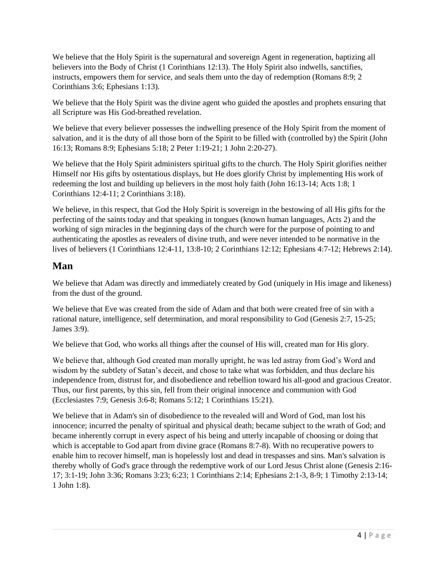We believe that the Holy Spirit is the supernatural and sovereign Agent in regeneration, baptizing all believers into the Body of Christ (1 Corinthians 12:13). The Holy Spirit also indwells, sanctifies, instructs, empowers them for service, and seals them unto the day of redemption (Romans 8:9; 2 Corinthians 3:6; Ephesians 1:13).

We believe that the Holy Spirit was the divine agent who guided the apostles and prophets ensuring that all Scripture was His God-breathed revelation.

We believe that every believer possesses the indwelling presence of the Holy Spirit from the moment of salvation, and it is the duty of all those born of the Spirit to be filled with (controlled by) the Spirit (John 16:13; Romans 8:9; Ephesians 5:18; 2 Peter 1:19-21; 1 John 2:20-27).

We believe that the Holy Spirit administers spiritual gifts to the church. The Holy Spirit glorifies neither Himself nor His gifts by ostentatious displays, but He does glorify Christ by implementing His work of redeeming the lost and building up believers in the most holy faith (John 16:13-14; Acts 1:8; 1 Corinthians 12:4-11; 2 Corinthians 3:18).

We believe, in this respect, that God the Holy Spirit is sovereign in the bestowing of all His gifts for the perfecting of the saints today and that speaking in tongues (known human languages, Acts 2) and the working of sign miracles in the beginning days of the church were for the purpose of pointing to and authenticating the apostles as revealers of divine truth, and were never intended to be normative in the lives of believers (1 Corinthians 12:4-11, 13:8-10; 2 Corinthians 12:12; Ephesians 4:7-12; Hebrews 2:14).

#### **Man**

We believe that Adam was directly and immediately created by God (uniquely in His image and likeness) from the dust of the ground.

We believe that Eve was created from the side of Adam and that both were created free of sin with a rational nature, intelligence, self determination, and moral responsibility to God (Genesis 2:7, 15-25; James 3:9).

We believe that God, who works all things after the counsel of His will, created man for His glory.

We believe that, although God created man morally upright, he was led astray from God's Word and wisdom by the subtlety of Satan's deceit, and chose to take what was forbidden, and thus declare his independence from, distrust for, and disobedience and rebellion toward his all-good and gracious Creator. Thus, our first parents, by this sin, fell from their original innocence and communion with God (Ecclesiastes 7:9; Genesis 3:6-8; Romans 5:12; 1 Corinthians 15:21).

We believe that in Adam's sin of disobedience to the revealed will and Word of God, man lost his innocence; incurred the penalty of spiritual and physical death; became subject to the wrath of God; and became inherently corrupt in every aspect of his being and utterly incapable of choosing or doing that which is acceptable to God apart from divine grace (Romans 8:7-8). With no recuperative powers to enable him to recover himself, man is hopelessly lost and dead in trespasses and sins. Man's salvation is thereby wholly of God's grace through the redemptive work of our Lord Jesus Christ alone (Genesis 2:16- 17; 3:1-19; John 3:36; Romans 3:23; 6:23; 1 Corinthians 2:14; Ephesians 2:1-3, 8-9; 1 Timothy 2:13-14; 1 John 1:8).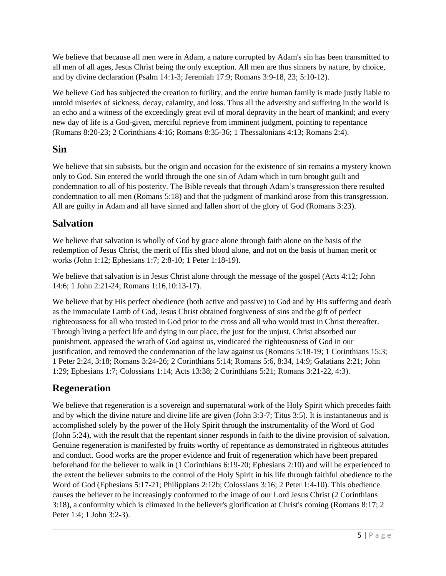We believe that because all men were in Adam, a nature corrupted by Adam's sin has been transmitted to all men of all ages, Jesus Christ being the only exception. All men are thus sinners by nature, by choice, and by divine declaration (Psalm 14:1-3; Jeremiah 17:9; Romans 3:9-18, 23; 5:10-12).

We believe God has subjected the creation to futility, and the entire human family is made justly liable to untold miseries of sickness, decay, calamity, and loss. Thus all the adversity and suffering in the world is an echo and a witness of the exceedingly great evil of moral depravity in the heart of mankind; and every new day of life is a God-given, merciful reprieve from imminent judgment, pointing to repentance (Romans 8:20-23; 2 Corinthians 4:16; Romans 8:35-36; 1 Thessalonians 4:13; Romans 2:4).

## **Sin**

We believe that sin subsists, but the origin and occasion for the existence of sin remains a mystery known only to God. Sin entered the world through the one sin of Adam which in turn brought guilt and condemnation to all of his posterity. The Bible reveals that through Adam's transgression there resulted condemnation to all men (Romans 5:18) and that the judgment of mankind arose from this transgression. All are guilty in Adam and all have sinned and fallen short of the glory of God (Romans 3:23).

# **Salvation**

We believe that salvation is wholly of God by grace alone through faith alone on the basis of the redemption of Jesus Christ, the merit of His shed blood alone, and not on the basis of human merit or works (John 1:12; Ephesians 1:7; 2:8-10; 1 Peter 1:18-19).

We believe that salvation is in Jesus Christ alone through the message of the gospel (Acts 4:12; John 14:6; 1 John 2:21-24; Romans 1:16,10:13-17).

We believe that by His perfect obedience (both active and passive) to God and by His suffering and death as the immaculate Lamb of God, Jesus Christ obtained forgiveness of sins and the gift of perfect righteousness for all who trusted in God prior to the cross and all who would trust in Christ thereafter. Through living a perfect life and dying in our place, the just for the unjust, Christ absorbed our punishment, appeased the wrath of God against us, vindicated the righteousness of God in our justification, and removed the condemnation of the law against us (Romans 5:18-19; 1 Corinthians 15:3; 1 Peter 2:24, 3:18; Romans 3:24-26; 2 Corinthians 5:14; Romans 5:6, 8:34, 14:9; Galatians 2:21; John 1:29; Ephesians 1:7; Colossians 1:14; Acts 13:38; 2 Corinthians 5:21; Romans 3:21-22, 4:3).

# **Regeneration**

We believe that regeneration is a sovereign and supernatural work of the Holy Spirit which precedes faith and by which the divine nature and divine life are given (John 3:3-7; Titus 3:5). It is instantaneous and is accomplished solely by the power of the Holy Spirit through the instrumentality of the Word of God (John 5:24), with the result that the repentant sinner responds in faith to the divine provision of salvation. Genuine regeneration is manifested by fruits worthy of repentance as demonstrated in righteous attitudes and conduct. Good works are the proper evidence and fruit of regeneration which have been prepared beforehand for the believer to walk in (1 Corinthians 6:19-20; Ephesians 2:10) and will be experienced to the extent the believer submits to the control of the Holy Spirit in his life through faithful obedience to the Word of God (Ephesians 5:17-21; Philippians 2:12b; Colossians 3:16; 2 Peter 1:4-10). This obedience causes the believer to be increasingly conformed to the image of our Lord Jesus Christ (2 Corinthians 3:18), a conformity which is climaxed in the believer's glorification at Christ's coming (Romans 8:17; 2 Peter 1:4; 1 John 3:2-3).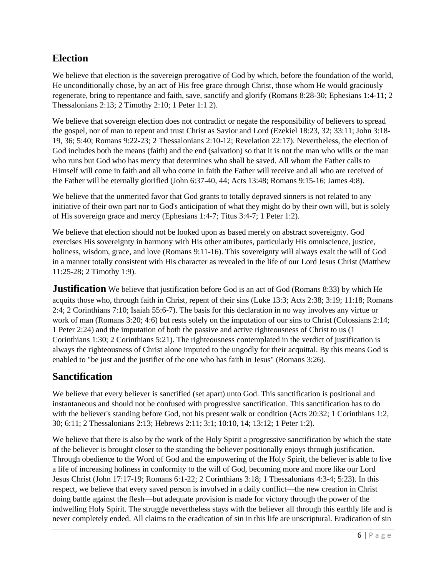#### **Election**

We believe that election is the sovereign prerogative of God by which, before the foundation of the world, He unconditionally chose, by an act of His free grace through Christ, those whom He would graciously regenerate, bring to repentance and faith, save, sanctify and glorify (Romans 8:28-30; Ephesians 1:4-11; 2 Thessalonians 2:13; 2 Timothy 2:10; 1 Peter 1:1 2).

We believe that sovereign election does not contradict or negate the responsibility of believers to spread the gospel, nor of man to repent and trust Christ as Savior and Lord (Ezekiel 18:23, 32; 33:11; John 3:18- 19, 36; 5:40; Romans 9:22-23; 2 Thessalonians 2:10-12; Revelation 22:17). Nevertheless, the election of God includes both the means (faith) and the end (salvation) so that it is not the man who wills or the man who runs but God who has mercy that determines who shall be saved. All whom the Father calls to Himself will come in faith and all who come in faith the Father will receive and all who are received of the Father will be eternally glorified (John 6:37-40, 44; Acts 13:48; Romans 9:15-16; James 4:8).

We believe that the unmerited favor that God grants to totally depraved sinners is not related to any initiative of their own part nor to God's anticipation of what they might do by their own will, but is solely of His sovereign grace and mercy (Ephesians 1:4-7; Titus 3:4-7; 1 Peter 1:2).

We believe that election should not be looked upon as based merely on abstract sovereignty. God exercises His sovereignty in harmony with His other attributes, particularly His omniscience, justice, holiness, wisdom, grace, and love (Romans 9:11-16). This sovereignty will always exalt the will of God in a manner totally consistent with His character as revealed in the life of our Lord Jesus Christ (Matthew 11:25-28; 2 Timothy 1:9).

**Justification** We believe that justification before God is an act of God (Romans 8:33) by which He acquits those who, through faith in Christ, repent of their sins (Luke 13:3; Acts 2:38; 3:19; 11:18; Romans 2:4; 2 Corinthians 7:10; Isaiah 55:6-7). The basis for this declaration in no way involves any virtue or work of man (Romans 3:20; 4:6) but rests solely on the imputation of our sins to Christ (Colossians 2:14; 1 Peter 2:24) and the imputation of both the passive and active righteousness of Christ to us (1 Corinthians 1:30; 2 Corinthians 5:21). The righteousness contemplated in the verdict of justification is always the righteousness of Christ alone imputed to the ungodly for their acquittal. By this means God is enabled to "be just and the justifier of the one who has faith in Jesus" (Romans 3:26).

#### **Sanctification**

We believe that every believer is sanctified (set apart) unto God. This sanctification is positional and instantaneous and should not be confused with progressive sanctification. This sanctification has to do with the believer's standing before God, not his present walk or condition (Acts 20:32; 1 Corinthians 1:2, 30; 6:11; 2 Thessalonians 2:13; Hebrews 2:11; 3:1; 10:10, 14; 13:12; 1 Peter 1:2).

We believe that there is also by the work of the Holy Spirit a progressive sanctification by which the state of the believer is brought closer to the standing the believer positionally enjoys through justification. Through obedience to the Word of God and the empowering of the Holy Spirit, the believer is able to live a life of increasing holiness in conformity to the will of God, becoming more and more like our Lord Jesus Christ (John 17:17-19; Romans 6:1-22; 2 Corinthians 3:18; 1 Thessalonians 4:3-4; 5:23). In this respect, we believe that every saved person is involved in a daily conflict—the new creation in Christ doing battle against the flesh—but adequate provision is made for victory through the power of the indwelling Holy Spirit. The struggle nevertheless stays with the believer all through this earthly life and is never completely ended. All claims to the eradication of sin in this life are unscriptural. Eradication of sin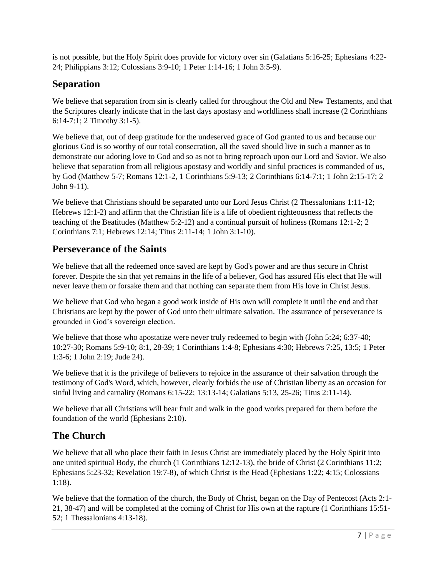is not possible, but the Holy Spirit does provide for victory over sin (Galatians 5:16-25; Ephesians 4:22- 24; Philippians 3:12; Colossians 3:9-10; 1 Peter 1:14-16; 1 John 3:5-9).

#### **Separation**

We believe that separation from sin is clearly called for throughout the Old and New Testaments, and that the Scriptures clearly indicate that in the last days apostasy and worldliness shall increase (2 Corinthians 6:14-7:1; 2 Timothy 3:1-5).

We believe that, out of deep gratitude for the undeserved grace of God granted to us and because our glorious God is so worthy of our total consecration, all the saved should live in such a manner as to demonstrate our adoring love to God and so as not to bring reproach upon our Lord and Savior. We also believe that separation from all religious apostasy and worldly and sinful practices is commanded of us, by God (Matthew 5-7; Romans 12:1-2, 1 Corinthians 5:9-13; 2 Corinthians 6:14-7:1; 1 John 2:15-17; 2 John 9-11).

We believe that Christians should be separated unto our Lord Jesus Christ (2 Thessalonians 1:11-12; Hebrews 12:1-2) and affirm that the Christian life is a life of obedient righteousness that reflects the teaching of the Beatitudes (Matthew 5:2-12) and a continual pursuit of holiness (Romans 12:1-2; 2 Corinthians 7:1; Hebrews 12:14; Titus 2:11-14; 1 John 3:1-10).

#### **Perseverance of the Saints**

We believe that all the redeemed once saved are kept by God's power and are thus secure in Christ forever. Despite the sin that yet remains in the life of a believer, God has assured His elect that He will never leave them or forsake them and that nothing can separate them from His love in Christ Jesus.

We believe that God who began a good work inside of His own will complete it until the end and that Christians are kept by the power of God unto their ultimate salvation. The assurance of perseverance is grounded in God's sovereign election.

We believe that those who apostatize were never truly redeemed to begin with (John 5:24; 6:37-40; 10:27-30; Romans 5:9-10; 8:1, 28-39; 1 Corinthians 1:4-8; Ephesians 4:30; Hebrews 7:25, 13:5; 1 Peter 1:3-6; 1 John 2:19; Jude 24).

We believe that it is the privilege of believers to rejoice in the assurance of their salvation through the testimony of God's Word, which, however, clearly forbids the use of Christian liberty as an occasion for sinful living and carnality (Romans 6:15-22; 13:13-14; Galatians 5:13, 25-26; Titus 2:11-14).

We believe that all Christians will bear fruit and walk in the good works prepared for them before the foundation of the world (Ephesians 2:10).

# **The Church**

We believe that all who place their faith in Jesus Christ are immediately placed by the Holy Spirit into one united spiritual Body, the church (1 Corinthians 12:12-13), the bride of Christ (2 Corinthians 11:2; Ephesians 5:23-32; Revelation 19:7-8), of which Christ is the Head (Ephesians 1:22; 4:15; Colossians 1:18).

We believe that the formation of the church, the Body of Christ, began on the Day of Pentecost (Acts 2:1-21, 38-47) and will be completed at the coming of Christ for His own at the rapture (1 Corinthians 15:51- 52; 1 Thessalonians 4:13-18).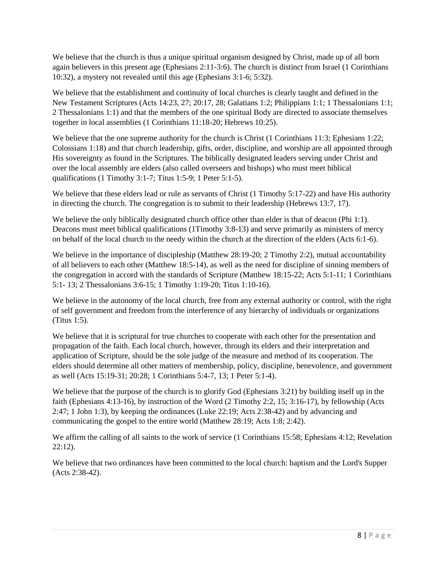We believe that the church is thus a unique spiritual organism designed by Christ, made up of all born again believers in this present age (Ephesians 2:11-3:6). The church is distinct from Israel (1 Corinthians 10:32), a mystery not revealed until this age (Ephesians 3:1-6; 5:32).

We believe that the establishment and continuity of local churches is clearly taught and defined in the New Testament Scriptures (Acts 14:23, 27; 20:17, 28; Galatians 1:2; Philippians 1:1; 1 Thessalonians 1:1; 2 Thessalonians 1:1) and that the members of the one spiritual Body are directed to associate themselves together in local assemblies (1 Corinthians 11:18-20; Hebrews 10:25).

We believe that the one supreme authority for the church is Christ (1 Corinthians 11:3; Ephesians 1:22; Colossians 1:18) and that church leadership, gifts, order, discipline, and worship are all appointed through His sovereignty as found in the Scriptures. The biblically designated leaders serving under Christ and over the local assembly are elders (also called overseers and bishops) who must meet biblical qualifications (1 Timothy 3:1-7; Titus 1:5-9; 1 Peter 5:1-5).

We believe that these elders lead or rule as servants of Christ (1 Timothy 5:17-22) and have His authority in directing the church. The congregation is to submit to their leadership (Hebrews 13:7, 17).

We believe the only biblically designated church office other than elder is that of deacon (Phi 1:1). Deacons must meet biblical qualifications (1Timothy 3:8-13) and serve primarily as ministers of mercy on behalf of the local church to the needy within the church at the direction of the elders (Acts 6:1-6).

We believe in the importance of discipleship (Matthew 28:19-20; 2 Timothy 2:2), mutual accountability of all believers to each other (Matthew 18:5-14), as well as the need for discipline of sinning members of the congregation in accord with the standards of Scripture (Matthew 18:15-22; Acts 5:1-11; 1 Corinthians 5:1- 13; 2 Thessalonians 3:6-15; 1 Timothy 1:19-20; Titus 1:10-16).

We believe in the autonomy of the local church, free from any external authority or control, with the right of self government and freedom from the interference of any hierarchy of individuals or organizations (Titus 1:5).

We believe that it is scriptural for true churches to cooperate with each other for the presentation and propagation of the faith. Each local church, however, through its elders and their interpretation and application of Scripture, should be the sole judge of the measure and method of its cooperation. The elders should determine all other matters of membership, policy, discipline, benevolence, and government as well (Acts 15:19-31; 20:28; 1 Corinthians 5:4-7, 13; 1 Peter 5:1-4).

We believe that the purpose of the church is to glorify God (Ephesians 3:21) by building itself up in the faith (Ephesians 4:13-16), by instruction of the Word (2 Timothy 2:2, 15; 3:16-17), by fellowship (Acts 2:47; 1 John 1:3), by keeping the ordinances (Luke 22:19; Acts 2:38-42) and by advancing and communicating the gospel to the entire world (Matthew 28:19; Acts 1:8; 2:42).

We affirm the calling of all saints to the work of service (1 Corinthians 15:58; Ephesians 4:12; Revelation 22:12).

We believe that two ordinances have been committed to the local church: baptism and the Lord's Supper (Acts 2:38-42).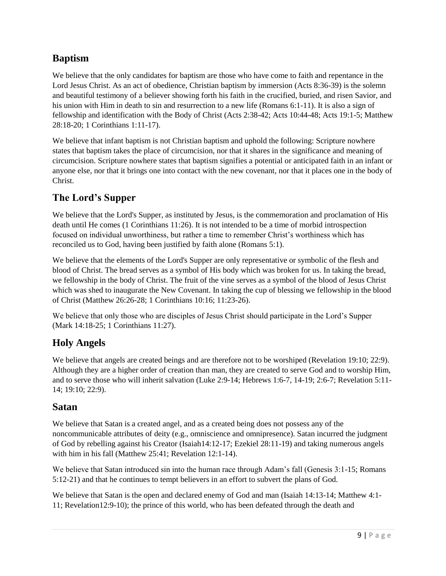## **Baptism**

We believe that the only candidates for baptism are those who have come to faith and repentance in the Lord Jesus Christ. As an act of obedience, Christian baptism by immersion (Acts 8:36-39) is the solemn and beautiful testimony of a believer showing forth his faith in the crucified, buried, and risen Savior, and his union with Him in death to sin and resurrection to a new life (Romans 6:1-11). It is also a sign of fellowship and identification with the Body of Christ (Acts 2:38-42; Acts 10:44-48; Acts 19:1-5; Matthew 28:18-20; 1 Corinthians 1:11-17).

We believe that infant baptism is not Christian baptism and uphold the following: Scripture nowhere states that baptism takes the place of circumcision, nor that it shares in the significance and meaning of circumcision. Scripture nowhere states that baptism signifies a potential or anticipated faith in an infant or anyone else, nor that it brings one into contact with the new covenant, nor that it places one in the body of Christ.

## **The Lord's Supper**

We believe that the Lord's Supper, as instituted by Jesus, is the commemoration and proclamation of His death until He comes (1 Corinthians 11:26). It is not intended to be a time of morbid introspection focused on individual unworthiness, but rather a time to remember Christ's worthiness which has reconciled us to God, having been justified by faith alone (Romans 5:1).

We believe that the elements of the Lord's Supper are only representative or symbolic of the flesh and blood of Christ. The bread serves as a symbol of His body which was broken for us. In taking the bread, we fellowship in the body of Christ. The fruit of the vine serves as a symbol of the blood of Jesus Christ which was shed to inaugurate the New Covenant. In taking the cup of blessing we fellowship in the blood of Christ (Matthew 26:26-28; 1 Corinthians 10:16; 11:23-26).

We believe that only those who are disciples of Jesus Christ should participate in the Lord's Supper (Mark 14:18-25; 1 Corinthians 11:27).

#### **Holy Angels**

We believe that angels are created beings and are therefore not to be worshiped (Revelation 19:10; 22:9). Although they are a higher order of creation than man, they are created to serve God and to worship Him, and to serve those who will inherit salvation (Luke 2:9-14; Hebrews 1:6-7, 14-19; 2:6-7; Revelation 5:11- 14; 19:10; 22:9).

#### **Satan**

We believe that Satan is a created angel, and as a created being does not possess any of the noncommunicable attributes of deity (e.g., omniscience and omnipresence). Satan incurred the judgment of God by rebelling against his Creator (Isaiah14:12-17; Ezekiel 28:11-19) and taking numerous angels with him in his fall (Matthew 25:41; Revelation 12:1-14).

We believe that Satan introduced sin into the human race through Adam's fall (Genesis 3:1-15; Romans 5:12-21) and that he continues to tempt believers in an effort to subvert the plans of God.

We believe that Satan is the open and declared enemy of God and man (Isaiah 14:13-14; Matthew 4:1- 11; Revelation12:9-10); the prince of this world, who has been defeated through the death and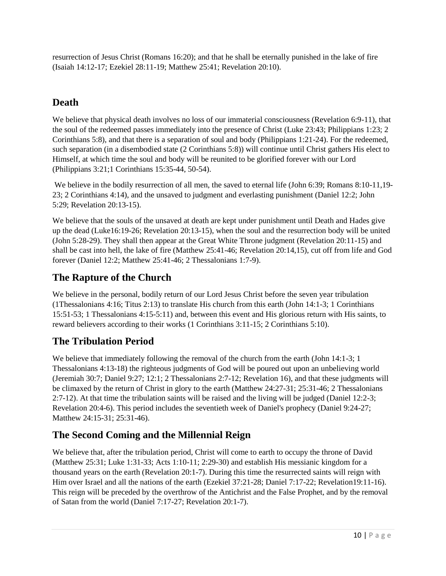resurrection of Jesus Christ (Romans 16:20); and that he shall be eternally punished in the lake of fire (Isaiah 14:12-17; Ezekiel 28:11-19; Matthew 25:41; Revelation 20:10).

## **Death**

We believe that physical death involves no loss of our immaterial consciousness (Revelation 6:9-11), that the soul of the redeemed passes immediately into the presence of Christ (Luke 23:43; Philippians 1:23; 2 Corinthians 5:8), and that there is a separation of soul and body (Philippians 1:21-24). For the redeemed, such separation (in a disembodied state (2 Corinthians 5:8)) will continue until Christ gathers His elect to Himself, at which time the soul and body will be reunited to be glorified forever with our Lord (Philippians 3:21;1 Corinthians 15:35-44, 50-54).

We believe in the bodily resurrection of all men, the saved to eternal life (John 6:39; Romans 8:10-11,19-23; 2 Corinthians 4:14), and the unsaved to judgment and everlasting punishment (Daniel 12:2; John 5:29; Revelation 20:13-15).

We believe that the souls of the unsaved at death are kept under punishment until Death and Hades give up the dead (Luke16:19-26; Revelation 20:13-15), when the soul and the resurrection body will be united (John 5:28-29). They shall then appear at the Great White Throne judgment (Revelation 20:11-15) and shall be cast into hell, the lake of fire (Matthew 25:41-46; Revelation 20:14,15), cut off from life and God forever (Daniel 12:2; Matthew 25:41-46; 2 Thessalonians 1:7-9).

## **The Rapture of the Church**

We believe in the personal, bodily return of our Lord Jesus Christ before the seven year tribulation (1Thessalonians 4:16; Titus 2:13) to translate His church from this earth (John 14:1-3; 1 Corinthians 15:51-53; 1 Thessalonians 4:15-5:11) and, between this event and His glorious return with His saints, to reward believers according to their works (1 Corinthians 3:11-15; 2 Corinthians 5:10).

# **The Tribulation Period**

We believe that immediately following the removal of the church from the earth (John 14:1-3; 1) Thessalonians 4:13-18) the righteous judgments of God will be poured out upon an unbelieving world (Jeremiah 30:7; Daniel 9:27; 12:1; 2 Thessalonians 2:7-12; Revelation 16), and that these judgments will be climaxed by the return of Christ in glory to the earth (Matthew 24:27-31; 25:31-46; 2 Thessalonians 2:7-12). At that time the tribulation saints will be raised and the living will be judged (Daniel 12:2-3; Revelation 20:4-6). This period includes the seventieth week of Daniel's prophecy (Daniel 9:24-27; Matthew 24:15-31; 25:31-46).

## **The Second Coming and the Millennial Reign**

We believe that, after the tribulation period, Christ will come to earth to occupy the throne of David (Matthew 25:31; Luke 1:31-33; Acts 1:10-11; 2:29-30) and establish His messianic kingdom for a thousand years on the earth (Revelation 20:1-7). During this time the resurrected saints will reign with Him over Israel and all the nations of the earth (Ezekiel 37:21-28; Daniel 7:17-22; Revelation19:11-16). This reign will be preceded by the overthrow of the Antichrist and the False Prophet, and by the removal of Satan from the world (Daniel 7:17-27; Revelation 20:1-7).